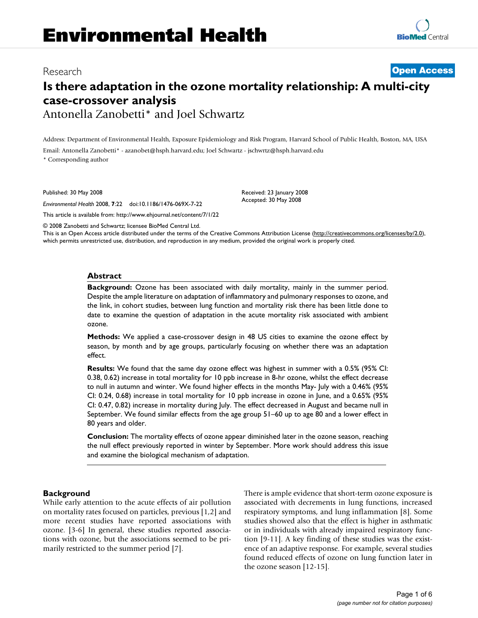# Research **[Open Access](http://www.biomedcentral.com/info/about/charter/)**

# **Is there adaptation in the ozone mortality relationship: A multi-city case-crossover analysis** Antonella Zanobetti\* and Joel Schwartz

Address: Department of Environmental Health, Exposure Epidemiology and Risk Program, Harvard School of Public Health, Boston, MA, USA

Email: Antonella Zanobetti\* - azanobet@hsph.harvard.edu; Joel Schwartz - jschwrtz@hsph.harvard.edu

\* Corresponding author

Published: 30 May 2008

*Environmental Health* 2008, **7**:22 doi:10.1186/1476-069X-7-22

[This article is available from: http://www.ehjournal.net/content/7/1/22](http://www.ehjournal.net/content/7/1/22)

© 2008 Zanobetti and Schwartz; licensee BioMed Central Ltd.

This is an Open Access article distributed under the terms of the Creative Commons Attribution License [\(http://creativecommons.org/licenses/by/2.0\)](http://creativecommons.org/licenses/by/2.0), which permits unrestricted use, distribution, and reproduction in any medium, provided the original work is properly cited.

Received: 23 January 2008 Accepted: 30 May 2008

#### **Abstract**

**Background:** Ozone has been associated with daily mortality, mainly in the summer period. Despite the ample literature on adaptation of inflammatory and pulmonary responses to ozone, and the link, in cohort studies, between lung function and mortality risk there has been little done to date to examine the question of adaptation in the acute mortality risk associated with ambient ozone.

**Methods:** We applied a case-crossover design in 48 US cities to examine the ozone effect by season, by month and by age groups, particularly focusing on whether there was an adaptation effect.

**Results:** We found that the same day ozone effect was highest in summer with a 0.5% (95% CI: 0.38, 0.62) increase in total mortality for 10 ppb increase in 8-hr ozone, whilst the effect decrease to null in autumn and winter. We found higher effects in the months May- July with a 0.46% (95% CI: 0.24, 0.68) increase in total mortality for 10 ppb increase in ozone in June, and a 0.65% (95% CI: 0.47, 0.82) increase in mortality during July. The effect decreased in August and became null in September. We found similar effects from the age group 51–60 up to age 80 and a lower effect in 80 years and older.

**Conclusion:** The mortality effects of ozone appear diminished later in the ozone season, reaching the null effect previously reported in winter by September. More work should address this issue and examine the biological mechanism of adaptation.

# **Background**

While early attention to the acute effects of air pollution on mortality rates focused on particles, previous [1,2] and more recent studies have reported associations with ozone. [3-6] In general, these studies reported associations with ozone, but the associations seemed to be primarily restricted to the summer period [7].

There is ample evidence that short-term ozone exposure is associated with decrements in lung functions, increased respiratory symptoms, and lung inflammation [8]. Some studies showed also that the effect is higher in asthmatic or in individuals with already impaired respiratory function [9-11]. A key finding of these studies was the existence of an adaptive response. For example, several studies found reduced effects of ozone on lung function later in the ozone season [12-15].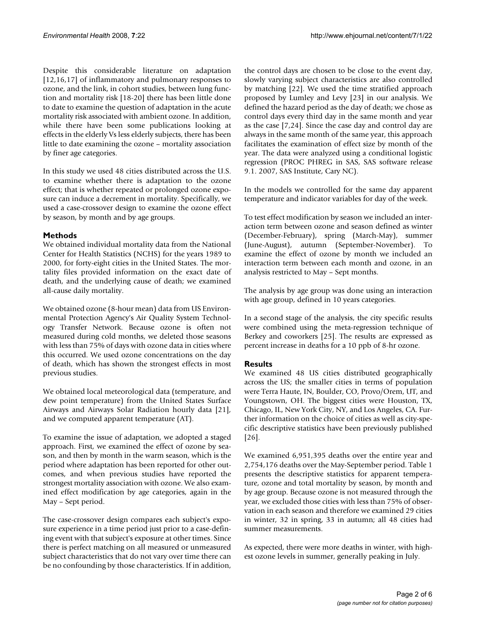Despite this considerable literature on adaptation [12,16,17] of inflammatory and pulmonary responses to ozone, and the link, in cohort studies, between lung function and mortality risk [18-20] there has been little done to date to examine the question of adaptation in the acute mortality risk associated with ambient ozone. In addition, while there have been some publications looking at effects in the elderly Vs less elderly subjects, there has been little to date examining the ozone – mortality association by finer age categories.

In this study we used 48 cities distributed across the U.S. to examine whether there is adaptation to the ozone effect; that is whether repeated or prolonged ozone exposure can induce a decrement in mortality. Specifically, we used a case-crossover design to examine the ozone effect by season, by month and by age groups.

# **Methods**

We obtained individual mortality data from the National Center for Health Statistics (NCHS) for the years 1989 to 2000, for forty-eight cities in the United States. The mortality files provided information on the exact date of death, and the underlying cause of death; we examined all-cause daily mortality.

We obtained ozone (8-hour mean) data from US Environmental Protection Agency's Air Quality System Technology Transfer Network. Because ozone is often not measured during cold months, we deleted those seasons with less than 75% of days with ozone data in cities where this occurred. We used ozone concentrations on the day of death, which has shown the strongest effects in most previous studies.

We obtained local meteorological data (temperature, and dew point temperature) from the United States Surface Airways and Airways Solar Radiation hourly data [21], and we computed apparent temperature (AT).

To examine the issue of adaptation, we adopted a staged approach. First, we examined the effect of ozone by season, and then by month in the warm season, which is the period where adaptation has been reported for other outcomes, and when previous studies have reported the strongest mortality association with ozone. We also examined effect modification by age categories, again in the May – Sept period.

The case-crossover design compares each subject's exposure experience in a time period just prior to a case-defining event with that subject's exposure at other times. Since there is perfect matching on all measured or unmeasured subject characteristics that do not vary over time there can be no confounding by those characteristics. If in addition,

the control days are chosen to be close to the event day, slowly varying subject characteristics are also controlled by matching [22]. We used the time stratified approach proposed by Lumley and Levy [23] in our analysis. We defined the hazard period as the day of death; we chose as control days every third day in the same month and year as the case [7,24]. Since the case day and control day are always in the same month of the same year, this approach facilitates the examination of effect size by month of the year. The data were analyzed using a conditional logistic regression (PROC PHREG in SAS, SAS software release 9.1. 2007, SAS Institute, Cary NC).

In the models we controlled for the same day apparent temperature and indicator variables for day of the week.

To test effect modification by season we included an interaction term between ozone and season defined as winter (December-February), spring (March-May), summer (June-August), autumn (September-November). To examine the effect of ozone by month we included an interaction term between each month and ozone, in an analysis restricted to May – Sept months.

The analysis by age group was done using an interaction with age group, defined in 10 years categories.

In a second stage of the analysis, the city specific results were combined using the meta-regression technique of Berkey and coworkers [25]. The results are expressed as percent increase in deaths for a 10 ppb of 8-hr ozone.

# **Results**

We examined 48 US cities distributed geographically across the US; the smaller cities in terms of population were Terra Haute, IN, Boulder, CO, Provo/Orem, UT, and Youngstown, OH. The biggest cities were Houston, TX, Chicago, IL, New York City, NY, and Los Angeles, CA. Further information on the choice of cities as well as city-specific descriptive statistics have been previously published [26].

We examined 6,951,395 deaths over the entire year and 2,754,176 deaths over the May-September period. Table 1 presents the descriptive statistics for apparent temperature, ozone and total mortality by season, by month and by age group. Because ozone is not measured through the year, we excluded those cities with less than 75% of observation in each season and therefore we examined 29 cities in winter, 32 in spring, 33 in autumn; all 48 cities had summer measurements.

As expected, there were more deaths in winter, with highest ozone levels in summer, generally peaking in July.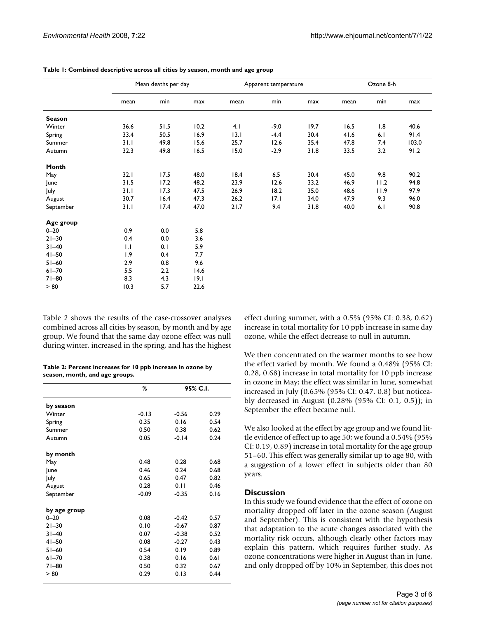|               | Mean deaths per day |      |      | Apparent temperature |        |      | Ozone 8-h |      |       |
|---------------|---------------------|------|------|----------------------|--------|------|-----------|------|-------|
|               | mean                | min  | max  | mean                 | min    | max  | mean      | min  | max   |
| <b>Season</b> |                     |      |      |                      |        |      |           |      |       |
| Winter        | 36.6                | 51.5 | 10.2 | 4.1                  | $-9.0$ | 19.7 | 16.5      | 1.8  | 40.6  |
| Spring        | 33.4                | 50.5 | 16.9 | 13.1                 | $-4.4$ | 30.4 | 41.6      | 6.1  | 91.4  |
| Summer        | 31.1                | 49.8 | 15.6 | 25.7                 | 12.6   | 35.4 | 47.8      | 7.4  | 103.0 |
| Autumn        | 32.3                | 49.8 | 16.5 | 15.0                 | $-2.9$ | 31.8 | 33.5      | 3.2  | 91.2  |
| Month         |                     |      |      |                      |        |      |           |      |       |
| May           | 32.1                | 17.5 | 48.0 | 18.4                 | 6.5    | 30.4 | 45.0      | 9.8  | 90.2  |
| June          | 31.5                | 17.2 | 48.2 | 23.9                 | 12.6   | 33.2 | 46.9      | 11.2 | 94.8  |
| July          | 31.1                | 17.3 | 47.5 | 26.9                 | 18.2   | 35.0 | 48.6      | 11.9 | 97.9  |
| August        | 30.7                | 16.4 | 47.3 | 26.2                 | 7.1    | 34.0 | 47.9      | 9.3  | 96.0  |
| September     | 31.1                | 17.4 | 47.0 | 21.7                 | 9.4    | 31.8 | 40.0      | 6.1  | 90.8  |
| Age group     |                     |      |      |                      |        |      |           |      |       |
| $0 - 20$      | 0.9                 | 0.0  | 5.8  |                      |        |      |           |      |       |
| $21 - 30$     | 0.4                 | 0.0  | 3.6  |                      |        |      |           |      |       |
| $31 - 40$     | $\mathsf{L}$        | 0.1  | 5.9  |                      |        |      |           |      |       |
| $41 - 50$     | 1.9                 | 0.4  | 7.7  |                      |        |      |           |      |       |
| $51 - 60$     | 2.9                 | 0.8  | 9.6  |                      |        |      |           |      |       |
| $61 - 70$     | 5.5                 | 2.2  | 14.6 |                      |        |      |           |      |       |
| $71 - 80$     | 8.3                 | 4.3  | 9.1  |                      |        |      |           |      |       |
| > 80          | 10.3                | 5.7  | 22.6 |                      |        |      |           |      |       |

**Table 1: Combined descriptive across all cities by season, month and age group**

Table 2 shows the results of the case-crossover analyses combined across all cities by season, by month and by age group. We found that the same day ozone effect was null during winter, increased in the spring, and has the highest

| Table 2: Percent increases for 10 ppb increase in ozone by |
|------------------------------------------------------------|
| season, month, and age groups.                             |

|              | %       | 95% C.I. |      |  |
|--------------|---------|----------|------|--|
| by season    |         |          |      |  |
| Winter       | $-0.13$ | $-0.56$  | 0.29 |  |
| Spring       | 0.35    | 0.16     | 0.54 |  |
| Summer       | 0.50    | 0.38     | 0.62 |  |
| Autumn       | 0.05    | $-0.14$  | 0.24 |  |
| by month     |         |          |      |  |
| May          | 0.48    | 0.28     | 0.68 |  |
| June         | 0.46    | 0.24     | 0.68 |  |
| July         | 0.65    | 0.47     | 0.82 |  |
| August       | 0.28    | 0.11     | 0.46 |  |
| September    | $-0.09$ | $-0.35$  | 0.16 |  |
| by age group |         |          |      |  |
| $0 - 20$     | 0.08    | $-0.42$  | 0.57 |  |
| $21 - 30$    | 0.10    | $-0.67$  | 0.87 |  |
| $31 - 40$    | 0.07    | $-0.38$  | 0.52 |  |
| $41 - 50$    | 0.08    | $-0.27$  | 0.43 |  |
| $51 - 60$    | 0.54    | 0.19     | 0.89 |  |
| $61 - 70$    | 0.38    | 0.16     | 0.61 |  |
| $71 - 80$    | 0.50    | 0.32     | 0.67 |  |
| > 80         | 0.29    | 0.13     | 0.44 |  |

effect during summer, with a 0.5% (95% CI: 0.38, 0.62) increase in total mortality for 10 ppb increase in same day ozone, while the effect decrease to null in autumn.

We then concentrated on the warmer months to see how the effect varied by month. We found a 0.48% (95% CI: 0.28, 0.68) increase in total mortality for 10 ppb increase in ozone in May; the effect was similar in June, somewhat increased in July (0.65% (95% CI: 0.47, 0.8) but noticeably decreased in August (0.28% (95% CI: 0.1, 0.5)); in September the effect became null.

We also looked at the effect by age group and we found little evidence of effect up to age 50; we found a 0.54% (95% CI: 0.19, 0.89) increase in total mortality for the age group 51–60. This effect was generally similar up to age 80, with a suggestion of a lower effect in subjects older than 80 years.

# **Discussion**

In this study we found evidence that the effect of ozone on mortality dropped off later in the ozone season (August and September). This is consistent with the hypothesis that adaptation to the acute changes associated with the mortality risk occurs, although clearly other factors may explain this pattern, which requires further study. As ozone concentrations were higher in August than in June, and only dropped off by 10% in September, this does not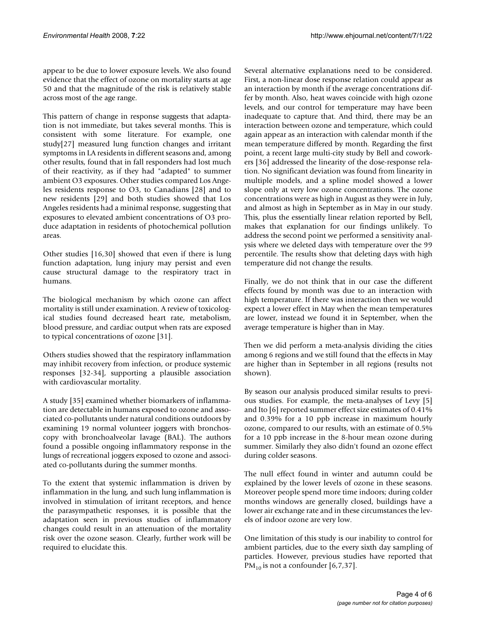appear to be due to lower exposure levels. We also found evidence that the effect of ozone on mortality starts at age 50 and that the magnitude of the risk is relatively stable across most of the age range.

This pattern of change in response suggests that adaptation is not immediate, but takes several months. This is consistent with some literature. For example, one study[27] measured lung function changes and irritant symptoms in LA residents in different seasons and, among other results, found that in fall responders had lost much of their reactivity, as if they had "adapted" to summer ambient O3 exposures. Other studies compared Los Angeles residents response to O3, to Canadians [28] and to new residents [29] and both studies showed that Los Angeles residents had a minimal response, suggesting that exposures to elevated ambient concentrations of O3 produce adaptation in residents of photochemical pollution areas.

Other studies [16,30] showed that even if there is lung function adaptation, lung injury may persist and even cause structural damage to the respiratory tract in humans.

The biological mechanism by which ozone can affect mortality is still under examination. A review of toxicological studies found decreased heart rate, metabolism, blood pressure, and cardiac output when rats are exposed to typical concentrations of ozone [31].

Others studies showed that the respiratory inflammation may inhibit recovery from infection, or produce systemic responses [32-34], supporting a plausible association with cardiovascular mortality.

A study [35] examined whether biomarkers of inflammation are detectable in humans exposed to ozone and associated co-pollutants under natural conditions outdoors by examining 19 normal volunteer joggers with bronchoscopy with bronchoalveolar lavage (BAL). The authors found a possible ongoing inflammatory response in the lungs of recreational joggers exposed to ozone and associated co-pollutants during the summer months.

To the extent that systemic inflammation is driven by inflammation in the lung, and such lung inflammation is involved in stimulation of irritant receptors, and hence the parasympathetic responses, it is possible that the adaptation seen in previous studies of inflammatory changes could result in an attenuation of the mortality risk over the ozone season. Clearly, further work will be required to elucidate this.

Several alternative explanations need to be considered. First, a non-linear dose response relation could appear as an interaction by month if the average concentrations differ by month. Also, heat waves coincide with high ozone levels, and our control for temperature may have been inadequate to capture that. And third, there may be an interaction between ozone and temperature, which could again appear as an interaction with calendar month if the mean temperature differed by month. Regarding the first point, a recent large multi-city study by Bell and coworkers [36] addressed the linearity of the dose-response relation. No significant deviation was found from linearity in multiple models, and a spline model showed a lower slope only at very low ozone concentrations. The ozone concentrations were as high in August as they were in July, and almost as high in September as in May in our study. This, plus the essentially linear relation reported by Bell, makes that explanation for our findings unlikely. To address the second point we performed a sensitivity analysis where we deleted days with temperature over the 99 percentile. The results show that deleting days with high temperature did not change the results.

Finally, we do not think that in our case the different effects found by month was due to an interaction with high temperature. If there was interaction then we would expect a lower effect in May when the mean temperatures are lower, instead we found it in September, when the average temperature is higher than in May.

Then we did perform a meta-analysis dividing the cities among 6 regions and we still found that the effects in May are higher than in September in all regions (results not shown).

By season our analysis produced similar results to previous studies. For example, the meta-analyses of Levy [5] and Ito [6] reported summer effect size estimates of 0.41% and 0.39% for a 10 ppb increase in maximum hourly ozone, compared to our results, with an estimate of 0.5% for a 10 ppb increase in the 8-hour mean ozone during summer. Similarly they also didn't found an ozone effect during colder seasons.

The null effect found in winter and autumn could be explained by the lower levels of ozone in these seasons. Moreover people spend more time indoors; during colder months windows are generally closed, buildings have a lower air exchange rate and in these circumstances the levels of indoor ozone are very low.

One limitation of this study is our inability to control for ambient particles, due to the every sixth day sampling of particles. However, previous studies have reported that  $PM_{10}$  is not a confounder [6,7,37].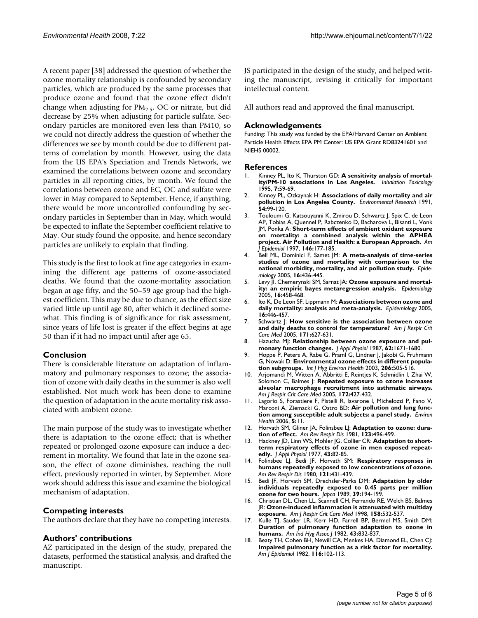A recent paper [38] addressed the question of whether the ozone mortality relationship is confounded by secondary particles, which are produced by the same processes that produce ozone and found that the ozone effect didn't change when adjusting for  $PM_{2.5}$ , OC or nitrate, but did decrease by 25% when adjusting for particle sulfate. Secondary particles are monitored even less than PM10, so we could not directly address the question of whether the differences we see by month could be due to different patterns of correlation by month. However, using the data from the US EPA's Speciation and Trends Network, we examined the correlations between ozone and secondary particles in all reporting cities, by month. We found the correlations between ozone and EC, OC and sulfate were lower in May compared to September. Hence, if anything, there would be more uncontrolled confounding by secondary particles in September than in May, which would be expected to inflate the September coefficient relative to May. Our study found the opposite, and hence secondary particles are unlikely to explain that finding.

This study is the first to look at fine age categories in examining the different age patterns of ozone-associated deaths. We found that the ozone-mortality association began at age fifty, and the 50–59 age group had the highest coefficient. This may be due to chance, as the effect size varied little up until age 80, after which it declined somewhat. This finding is of significance for risk assessment, since years of life lost is greater if the effect begins at age 50 than if it had no impact until after age 65.

# **Conclusion**

There is considerable literature on adaptation of inflammatory and pulmonary responses to ozone; the association of ozone with daily deaths in the summer is also well established. Not much work has been done to examine the question of adaptation in the acute mortality risk associated with ambient ozone.

The main purpose of the study was to investigate whether there is adaptation to the ozone effect; that is whether repeated or prolonged ozone exposure can induce a decrement in mortality. We found that late in the ozone season, the effect of ozone diminishes, reaching the null effect, previously reported in winter, by September. More work should address this issue and examine the biological mechanism of adaptation.

# **Competing interests**

The authors declare that they have no competing interests.

#### **Authors' contributions**

AZ participated in the design of the study, prepared the datasets, performed the statistical analysis, and drafted the manuscript.

JS participated in the design of the study, and helped writing the manuscript, revising it critically for important intellectual content.

All authors read and approved the final manuscript.

#### **Acknowledgements**

Funding: This study was funded by the EPA/Harvard Center on Ambient Particle Health Effects EPA PM Center: US EPA Grant RD83241601 and NIEHS 00002.

#### **References**

- 1. Kinney PL, Ito K, Thurston GD: **A sensitivity analysis of mortality/PM-10 associations in Los Angeles.** *Inhalation Toxicology* 1995, **7:**59-69.
- 2. Kinney PL, Ozkaynak H: **[Associations of daily mortality and air](http://www.ncbi.nlm.nih.gov/entrez/query.fcgi?cmd=Retrieve&db=PubMed&dopt=Abstract&list_uids=2029880) [pollution in Los Angeles County.](http://www.ncbi.nlm.nih.gov/entrez/query.fcgi?cmd=Retrieve&db=PubMed&dopt=Abstract&list_uids=2029880)** *Environmental Research* 1991, **54:**99-120.
- 3. Touloumi G, Katsouyanni K, Zmirou D, Schwartz J, Spix C, de Leon AP, Tobias A, Quennel P, Rabczenko D, Bacharova L, Bisanti L, Vonk JM, Ponka A: **[Short-term effects of ambient oxidant exposure](http://www.ncbi.nlm.nih.gov/entrez/query.fcgi?cmd=Retrieve&db=PubMed&dopt=Abstract&list_uids=9230780) [on mortality: a combined analysis within the APHEA](http://www.ncbi.nlm.nih.gov/entrez/query.fcgi?cmd=Retrieve&db=PubMed&dopt=Abstract&list_uids=9230780) [project. Air Pollution and Health: a European Approach.](http://www.ncbi.nlm.nih.gov/entrez/query.fcgi?cmd=Retrieve&db=PubMed&dopt=Abstract&list_uids=9230780)** *Am J Epidemiol* 1997, **146:**177-185.
- 4. Bell ML, Dominici F, Samet JM: **[A meta-analysis of time-series](http://www.ncbi.nlm.nih.gov/entrez/query.fcgi?cmd=Retrieve&db=PubMed&dopt=Abstract&list_uids=15951661) [studies of ozone and mortality with comparison to the](http://www.ncbi.nlm.nih.gov/entrez/query.fcgi?cmd=Retrieve&db=PubMed&dopt=Abstract&list_uids=15951661) [national morbidity, mortality, and air pollution study.](http://www.ncbi.nlm.nih.gov/entrez/query.fcgi?cmd=Retrieve&db=PubMed&dopt=Abstract&list_uids=15951661)** *Epidemiology* 2005, **16:**436-445.
- 5. Levy II, Chemerynski SM, Sarnat JA: **[Ozone exposure and mortal](http://www.ncbi.nlm.nih.gov/entrez/query.fcgi?cmd=Retrieve&db=PubMed&dopt=Abstract&list_uids=15951663)[ity: an empiric bayes metaregression analysis.](http://www.ncbi.nlm.nih.gov/entrez/query.fcgi?cmd=Retrieve&db=PubMed&dopt=Abstract&list_uids=15951663)** *Epidemiology* 2005, **16:**458-468.
- 6. Ito K, De Leon SF, Lippmann M: **[Associations between ozone and](http://www.ncbi.nlm.nih.gov/entrez/query.fcgi?cmd=Retrieve&db=PubMed&dopt=Abstract&list_uids=15951662) [daily mortality: analysis and meta-analysis.](http://www.ncbi.nlm.nih.gov/entrez/query.fcgi?cmd=Retrieve&db=PubMed&dopt=Abstract&list_uids=15951662)** *Epidemiology* 2005, **16:**446-457.
- 7. Schwartz J: **[How sensitive is the association between ozone](http://www.ncbi.nlm.nih.gov/entrez/query.fcgi?cmd=Retrieve&db=PubMed&dopt=Abstract&list_uids=15579726) [and daily deaths to control for temperature?](http://www.ncbi.nlm.nih.gov/entrez/query.fcgi?cmd=Retrieve&db=PubMed&dopt=Abstract&list_uids=15579726)** *Am J Respir Crit Care Med* 2005, **171:**627-631.
- 8. Hazucha M: [Relationship between ozone exposure and pul](http://www.ncbi.nlm.nih.gov/entrez/query.fcgi?cmd=Retrieve&db=PubMed&dopt=Abstract&list_uids=3298195)**[monary function changes.](http://www.ncbi.nlm.nih.gov/entrez/query.fcgi?cmd=Retrieve&db=PubMed&dopt=Abstract&list_uids=3298195)** *J Appl Physiol* 1987, **62:**1671-1680.
- 9. Hoppe P, Peters A, Rabe G, Praml G, Lindner J, Jakobi G, Fruhmann G, Nowak D: **[Environmental ozone effects in different popula](http://www.ncbi.nlm.nih.gov/entrez/query.fcgi?cmd=Retrieve&db=PubMed&dopt=Abstract&list_uids=14626898)[tion subgroups.](http://www.ncbi.nlm.nih.gov/entrez/query.fcgi?cmd=Retrieve&db=PubMed&dopt=Abstract&list_uids=14626898)** *Int J Hyg Environ Health* 2003, **206:**505-516.
- 10. Arjomandi M, Witten A, Abbritti E, Reintjes K, Schmidlin I, Zhai W, Solomon C, Balmes J: **[Repeated exposure to ozone increases](http://www.ncbi.nlm.nih.gov/entrez/query.fcgi?cmd=Retrieve&db=PubMed&dopt=Abstract&list_uids=15937293) [alveolar macrophage recruitment into asthmatic airways.](http://www.ncbi.nlm.nih.gov/entrez/query.fcgi?cmd=Retrieve&db=PubMed&dopt=Abstract&list_uids=15937293)** *Am J Respir Crit Care Med* 2005, **172:**427-432.
- 11. Lagorio S, Forastiere F, Pistelli R, Iavarone I, Michelozzi P, Fano V, Marconi A, Ziemacki G, Ostro BD: **[Air pollution and lung func](http://www.ncbi.nlm.nih.gov/entrez/query.fcgi?cmd=Retrieve&db=PubMed&dopt=Abstract&list_uids=16674831)[tion among susceptible adult subjects: a panel study.](http://www.ncbi.nlm.nih.gov/entrez/query.fcgi?cmd=Retrieve&db=PubMed&dopt=Abstract&list_uids=16674831)** *Environ Health* 2006, **5:**11.
- 12. Horvath SM, Gliner JA, Folinsbee LJ: **[Adaptation to ozone: dura](http://www.ncbi.nlm.nih.gov/entrez/query.fcgi?cmd=Retrieve&db=PubMed&dopt=Abstract&list_uids=7235372)[tion of effect.](http://www.ncbi.nlm.nih.gov/entrez/query.fcgi?cmd=Retrieve&db=PubMed&dopt=Abstract&list_uids=7235372)** *Am Rev Respir Dis* 1981, **123:**496-499.
- 13. Hackney JD, Linn WS, Mohler JG, Collier CR: **[Adaptation to short](http://www.ncbi.nlm.nih.gov/entrez/query.fcgi?cmd=Retrieve&db=PubMed&dopt=Abstract&list_uids=893270)[term respiratory effects of ozone in men exposed repeat](http://www.ncbi.nlm.nih.gov/entrez/query.fcgi?cmd=Retrieve&db=PubMed&dopt=Abstract&list_uids=893270)[edly.](http://www.ncbi.nlm.nih.gov/entrez/query.fcgi?cmd=Retrieve&db=PubMed&dopt=Abstract&list_uids=893270)** *J Appl Physiol* 1977, **43:**82-85.
- 14. Folinsbee LJ, Bedi JF, Horvath SM: **[Respiratory responses in](http://www.ncbi.nlm.nih.gov/entrez/query.fcgi?cmd=Retrieve&db=PubMed&dopt=Abstract&list_uids=7416576) [humans repeatedly exposed to low concentrations of ozone.](http://www.ncbi.nlm.nih.gov/entrez/query.fcgi?cmd=Retrieve&db=PubMed&dopt=Abstract&list_uids=7416576)** *Am Rev Respir Dis* 1980, **121:**431-439.
- 15. Bedi JF, Horvath SM, Drechsler-Parks DM: **[Adaptation by older](http://www.ncbi.nlm.nih.gov/entrez/query.fcgi?cmd=Retrieve&db=PubMed&dopt=Abstract&list_uids=2715788) [individuals repeatedly exposed to 0.45 parts per million](http://www.ncbi.nlm.nih.gov/entrez/query.fcgi?cmd=Retrieve&db=PubMed&dopt=Abstract&list_uids=2715788) [ozone for two hours.](http://www.ncbi.nlm.nih.gov/entrez/query.fcgi?cmd=Retrieve&db=PubMed&dopt=Abstract&list_uids=2715788)** *Japca* 1989, **39:**194-199.
- 16. Christian DL, Chen LL, Scannell CH, Ferrando RE, Welch BS, Balmes JR: **[Ozone-induced inflammation is attenuated with multiday](http://www.ncbi.nlm.nih.gov/entrez/query.fcgi?cmd=Retrieve&db=PubMed&dopt=Abstract&list_uids=9700132) [exposure.](http://www.ncbi.nlm.nih.gov/entrez/query.fcgi?cmd=Retrieve&db=PubMed&dopt=Abstract&list_uids=9700132)** *Am J Respir Crit Care Med* 1998, **158:**532-537.
- 17. Kulle TJ, Sauder LR, Kerr HD, Farrell BP, Bermel MS, Smith DM: **[Duration of pulmonary function adaptation to ozone in](http://www.ncbi.nlm.nih.gov/entrez/query.fcgi?cmd=Retrieve&db=PubMed&dopt=Abstract&list_uids=7168440) [humans.](http://www.ncbi.nlm.nih.gov/entrez/query.fcgi?cmd=Retrieve&db=PubMed&dopt=Abstract&list_uids=7168440)** *Am Ind Hyg Assoc J* 1982, **43:**832-837.
- 18. Beaty TH, Cohen BH, Newill CA, Menkes HA, Diamond EL, Chen CJ: **[Impaired pulmonary function as a risk factor for mortality.](http://www.ncbi.nlm.nih.gov/entrez/query.fcgi?cmd=Retrieve&db=PubMed&dopt=Abstract&list_uids=7102646)** *Am J Epidemiol* 1982, **116:**102-113.